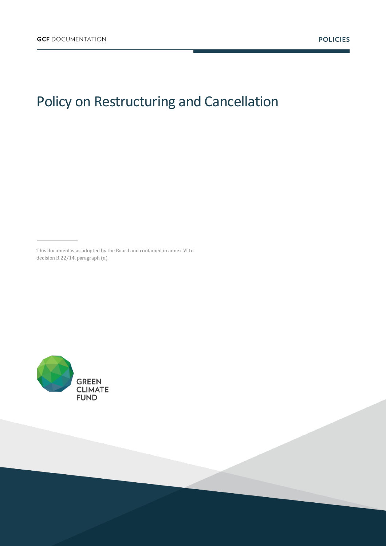# Policy on Restructuring and Cancellation

This document is as adopted by the Board and contained in annex VI to decision B.22/14, paragraph (a).

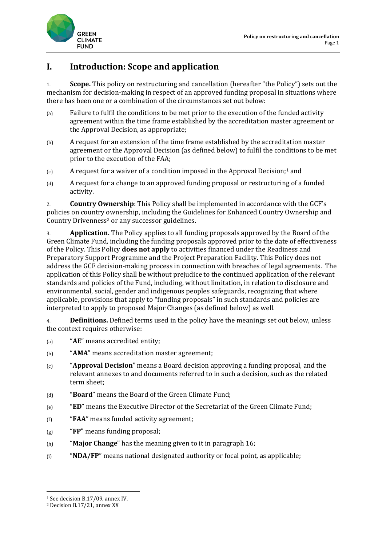

## **I. Introduction: Scope and application**

1. **Scope.** This policy on restructuring and cancellation (hereafter "the Policy") sets out the mechanism for decision-making in respect of an approved funding proposal in situations where there has been one or a combination of the circumstances set out below:

- (a) Failure to fulfil the conditions to be met prior to the execution of the funded activity agreement within the time frame established by the accreditation master agreement or the Approval Decision, as appropriate;
- (b) A request for an extension of the time frame established by the accreditation master agreement or the Approval Decision (as defined below) to fulfil the conditions to be met prior to the execution of the FAA;
- $(c)$  A request for a waiver of a condition imposed in the Approval Decision;<sup>1</sup> and
- (d) A request for a change to an approved funding proposal or restructuring of a funded activity.

2. **Country Ownership**: This Policy shall be implemented in accordance with the GCF's policies on country ownership, including the Guidelines for Enhanced Country Ownership and Country Drivenness<sup>2</sup> or any successor guidelines.

3. **Application.** The Policy applies to all funding proposals approved by the Board of the Green Climate Fund, including the funding proposals approved prior to the date of effectiveness of the Policy. This Policy **does not apply** to activities financed under the Readiness and Preparatory Support Programme and the Project Preparation Facility. This Policy does not address the GCF decision-making process in connection with breaches of legal agreements. The application of this Policy shall be without prejudice to the continued application of the relevant standards and policies of the Fund, including, without limitation, in relation to disclosure and environmental, social, gender and indigenous peoples safeguards, recognizing that where applicable, provisions that apply to "funding proposals" in such standards and policies are interpreted to apply to proposed Major Changes (as defined below) as well.

4. **Definitions.** Defined terms used in the policy have the meanings set out below, unless the context requires otherwise:

- (a) "**AE**" means accredited entity;
- (b) "**AMA**" means accreditation master agreement;
- (c) "**Approval Decision**" means a Board decision approving a funding proposal, and the relevant annexes to and documents referred to in such a decision, such as the related term sheet;
- (d) "**Board**" means the Board of the Green Climate Fund;
- (e) "**ED**" means the Executive Director of the Secretariat of the Green Climate Fund;
- (f) "**FAA**" means funded activity agreement;
- (g) "**FP**" means funding proposal;
- (h) "**Major Change**" has the meaning given to it in paragraph 16;
- (i) "**NDA/FP**" means national designated authority or focal point, as applicable;

**.** 

<sup>1</sup> See decision B.17/09, annex IV.

<sup>2</sup> Decision B.17/21, annex XX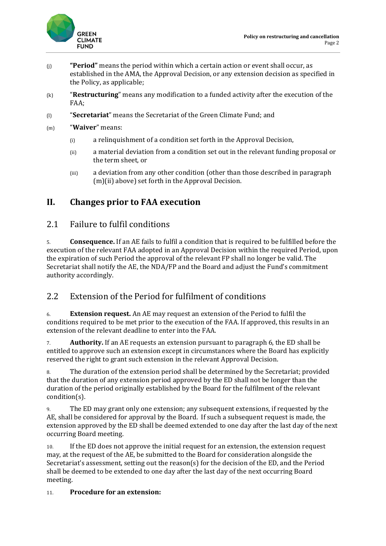

- (j) **"Period"** means the period within which a certain action or event shall occur, as established in the AMA, the Approval Decision, or any extension decision as specified in the Policy, as applicable;
- (k) "**Restructuring**" means any modification to a funded activity after the execution of the FAA;
- (l) "**Secretariat**" means the Secretariat of the Green Climate Fund; and
- (m) "**Waiver**" means:
	- (i) a relinquishment of a condition set forth in the Approval Decision,
	- (ii) a material deviation from a condition set out in the relevant funding proposal or the term sheet, or
	- (iii) a deviation from any other condition (other than those described in paragraph (m)(ii) above) set forth in the Approval Decision.

## **II. Changes prior to FAA execution**

#### 2.1 Failure to fulfil conditions

5. **Consequence.** If an AE fails to fulfil a condition that is required to be fulfilled before the execution of the relevant FAA adopted in an Approval Decision within the required Period, upon the expiration of such Period the approval of the relevant FP shall no longer be valid. The Secretariat shall notify the AE, the NDA/FP and the Board and adjust the Fund's commitment authority accordingly.

### 2.2 Extension of the Period for fulfilment of conditions

6. **Extension request.** An AE may request an extension of the Period to fulfil the conditions required to be met prior to the execution of the FAA. If approved, this results in an extension of the relevant deadline to enter into the FAA.

7. **Authority.** If an AE requests an extension pursuant to paragraph 6, the ED shall be entitled to approve such an extension except in circumstances where the Board has explicitly reserved the right to grant such extension in the relevant Approval Decision.

8. The duration of the extension period shall be determined by the Secretariat; provided that the duration of any extension period approved by the ED shall not be longer than the duration of the period originally established by the Board for the fulfilment of the relevant condition(s).

9. The ED may grant only one extension; any subsequent extensions, if requested by the AE, shall be considered for approval by the Board. If such a subsequent request is made, the extension approved by the ED shall be deemed extended to one day after the last day of the next occurring Board meeting.

10. If the ED does not approve the initial request for an extension, the extension request may, at the request of the AE, be submitted to the Board for consideration alongside the Secretariat's assessment, setting out the reason(s) for the decision of the ED, and the Period shall be deemed to be extended to one day after the last day of the next occurring Board meeting.

#### 11. **Procedure for an extension:**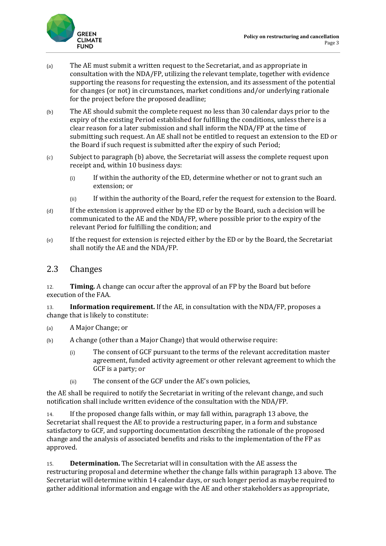

- (a) The AE must submit a written request to the Secretariat, and as appropriate in consultation with the NDA/FP, utilizing the relevant template, together with evidence supporting the reasons for requesting the extension, and its assessment of the potential for changes (or not) in circumstances, market conditions and/or underlying rationale for the project before the proposed deadline;
- (b) The AE should submit the complete request no less than 30 calendar days prior to the expiry of the existing Period established for fulfilling the conditions, unless there is a clear reason for a later submission and shall inform the NDA/FP at the time of submitting such request. An AE shall not be entitled to request an extension to the ED or the Board if such request is submitted after the expiry of such Period;
- (c) Subject to paragraph (b) above, the Secretariat will assess the complete request upon receipt and, within 10 business days:
	- (i) If within the authority of the ED, determine whether or not to grant such an extension; or
	- (ii) If within the authority of the Board, refer the request for extension to the Board.
- (d) If the extension is approved either by the ED or by the Board, such a decision will be communicated to the AE and the NDA/FP, where possible prior to the expiry of the relevant Period for fulfilling the condition; and
- (e) If the request for extension is rejected either by the ED or by the Board, the Secretariat shall notify the AE and the NDA/FP.

#### 2.3 Changes

12. **Timing.** A change can occur after the approval of an FP by the Board but before execution of the FAA.

13. **Information requirement.** If the AE, in consultation with the NDA/FP, proposes a change that is likely to constitute:

- (a) A Major Change; or
- (b) A change (other than a Major Change) that would otherwise require:
	- (i) The consent of GCF pursuant to the terms of the relevant accreditation master agreement, funded activity agreement or other relevant agreement to which the GCF is a party; or
	- (ii) The consent of the GCF under the AE's own policies,

the AE shall be required to notify the Secretariat in writing of the relevant change, and such notification shall include written evidence of the consultation with the NDA/FP.

14. If the proposed change falls within, or may fall within, paragraph 13 above, the Secretariat shall request the AE to provide a restructuring paper, in a form and substance satisfactory to GCF, and supporting documentation describing the rationale of the proposed change and the analysis of associated benefits and risks to the implementation of the FP as approved.

15. **Determination.** The Secretariat will in consultation with the AE assess the restructuring proposal and determine whether the change falls within paragraph 13 above. The Secretariat will determine within 14 calendar days, or such longer period as maybe required to gather additional information and engage with the AE and other stakeholders as appropriate,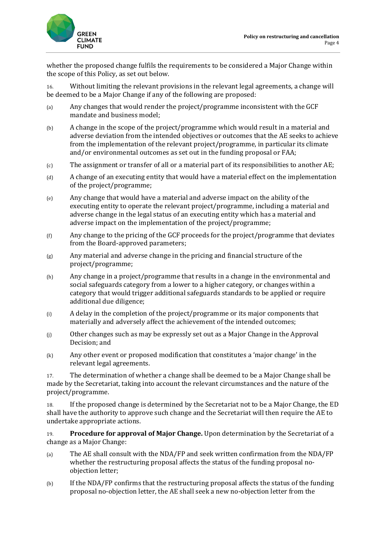

whether the proposed change fulfils the requirements to be considered a Major Change within the scope of this Policy, as set out below.

16. Without limiting the relevant provisions in the relevant legal agreements, a change will be deemed to be a Major Change if any of the following are proposed:

- (a) Any changes that would render the project/programme inconsistent with the GCF mandate and business model;
- (b) A change in the scope of the project/programme which would result in a material and adverse deviation from the intended objectives or outcomes that the AE seeks to achieve from the implementation of the relevant project/programme, in particular its climate and/or environmental outcomes as set out in the funding proposal or FAA;
- (c) The assignment or transfer of all or a material part of its responsibilities to another AE;
- (d) A change of an executing entity that would have a material effect on the implementation of the project/programme;
- (e) Any change that would have a material and adverse impact on the ability of the executing entity to operate the relevant project/programme, including a material and adverse change in the legal status of an executing entity which has a material and adverse impact on the implementation of the project/programme;
- (f) Any change to the pricing of the GCF proceeds for the project/programme that deviates from the Board-approved parameters;
- (g) Any material and adverse change in the pricing and financial structure of the project/programme;
- (h) Any change in a project/programme that results in a change in the environmental and social safeguards category from a lower to a higher category, or changes within a category that would trigger additional safeguards standards to be applied or require additional due diligence;
- (i) A delay in the completion of the project/programme or its major components that materially and adversely affect the achievement of the intended outcomes;
- (j) Other changes such as may be expressly set out as a Major Change in the Approval Decision; and
- (k) Any other event or proposed modification that constitutes a 'major change' in the relevant legal agreements.

17. The determination of whether a change shall be deemed to be a Major Change shall be made by the Secretariat, taking into account the relevant circumstances and the nature of the project/programme.

18. If the proposed change is determined by the Secretariat not to be a Major Change, the ED shall have the authority to approve such change and the Secretariat will then require the AE to undertake appropriate actions.

19. **Procedure for approval of Major Change.** Upon determination by the Secretariat of a change as a Major Change:

- (a) The AE shall consult with the NDA/FP and seek written confirmation from the NDA/FP whether the restructuring proposal affects the status of the funding proposal noobjection letter;
- (b) If the NDA/FP confirms that the restructuring proposal affects the status of the funding proposal no-objection letter, the AE shall seek a new no-objection letter from the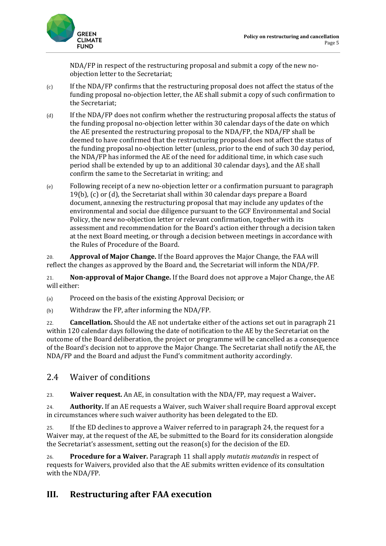

NDA/FP in respect of the restructuring proposal and submit a copy of the new noobjection letter to the Secretariat;

- $(c)$  If the NDA/FP confirms that the restructuring proposal does not affect the status of the funding proposal no-objection letter, the AE shall submit a copy of such confirmation to the Secretariat;
- (d) If the NDA/FP does not confirm whether the restructuring proposal affects the status of the funding proposal no-objection letter within 30 calendar days of the date on which the AE presented the restructuring proposal to the NDA/FP, the NDA/FP shall be deemed to have confirmed that the restructuring proposal does not affect the status of the funding proposal no-objection letter (unless, prior to the end of such 30 day period, the NDA/FP has informed the AE of the need for additional time, in which case such period shall be extended by up to an additional 30 calendar days), and the AE shall confirm the same to the Secretariat in writing; and
- (e) Following receipt of a new no-objection letter or a confirmation pursuant to paragraph 19(b), (c) or (d), the Secretariat shall within 30 calendar days prepare a Board document, annexing the restructuring proposal that may include any updates of the environmental and social due diligence pursuant to the GCF Environmental and Social Policy, the new no-objection letter or relevant confirmation, together with its assessment and recommendation for the Board's action either through a decision taken at the next Board meeting, or through a decision between meetings in accordance with the Rules of Procedure of the Board.

20. **Approval of Major Change.** If the Board approves the Major Change, the FAA will reflect the changes as approved by the Board and, the Secretariat will inform the NDA/FP.

21. **Non-approval of Major Change.** If the Board does not approve a Major Change, the AE will either:

(a) Proceed on the basis of the existing Approval Decision; or

(b) Withdraw the FP, after informing the NDA/FP.

22. **Cancellation.** Should the AE not undertake either of the actions set out in paragraph 21 within 120 calendar days following the date of notification to the AE by the Secretariat on the outcome of the Board deliberation, the project or programme will be cancelled as a consequence of the Board's decision not to approve the Major Change. The Secretariat shall notify the AE, the NDA/FP and the Board and adjust the Fund's commitment authority accordingly.

## 2.4 Waiver of conditions

23. **Waiver request.** An AE, in consultation with the NDA/FP, may request a Waiver**.**

24. **Authority.** If an AE requests a Waiver, such Waiver shall require Board approval except in circumstances where such waiver authority has been delegated to the ED.

25. If the ED declines to approve a Waiver referred to in paragraph 24, the request for a Waiver may, at the request of the AE, be submitted to the Board for its consideration alongside the Secretariat's assessment, setting out the reason(s) for the decision of the ED.

26. **Procedure for a Waiver.** Paragraph 11 shall apply *mutatis mutandis* in respect of requests for Waivers, provided also that the AE submits written evidence of its consultation with the NDA/FP.

## **III. Restructuring after FAA execution**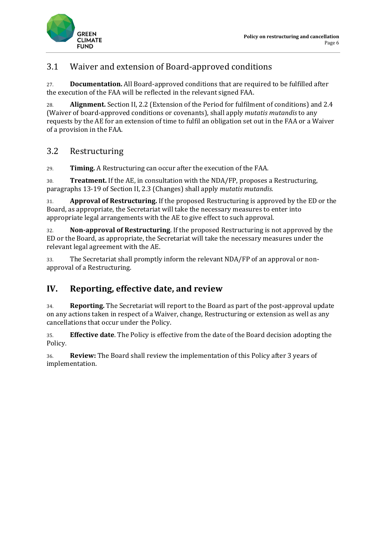

## 3.1 Waiver and extension of Board-approved conditions

27. **Documentation.** All Board-approved conditions that are required to be fulfilled after the execution of the FAA will be reflected in the relevant signed FAA.

28. **Alignment.** Section II, 2.2 (Extension of the Period for fulfilment of conditions) and 2.4 (Waiver of board-approved conditions or covenants), shall apply *mutatis mutandis* to any requests by the AE for an extension of time to fulfil an obligation set out in the FAA or a Waiver of a provision in the FAA.

## 3.2 Restructuring

29. **Timing.** A Restructuring can occur after the execution of the FAA.

30. **Treatment.** If the AE, in consultation with the NDA/FP, proposes a Restructuring, paragraphs 13-19 of Section II, 2.3 (Changes) shall apply *mutatis mutandis.*

31. **Approval of Restructuring.** If the proposed Restructuring is approved by the ED or the Board, as appropriate, the Secretariat will take the necessary measures to enter into appropriate legal arrangements with the AE to give effect to such approval.

32. **Non-approval of Restructuring**. If the proposed Restructuring is not approved by the ED or the Board, as appropriate, the Secretariat will take the necessary measures under the relevant legal agreement with the AE.

33. The Secretariat shall promptly inform the relevant NDA/FP of an approval or nonapproval of a Restructuring.

## **IV. Reporting, effective date, and review**

34. **Reporting.** The Secretariat will report to the Board as part of the post-approval update on any actions taken in respect of a Waiver, change, Restructuring or extension as well as any cancellations that occur under the Policy.

35. **Effective date**. The Policy is effective from the date of the Board decision adopting the Policy.

36. **Review:** The Board shall review the implementation of this Policy after 3 years of implementation.